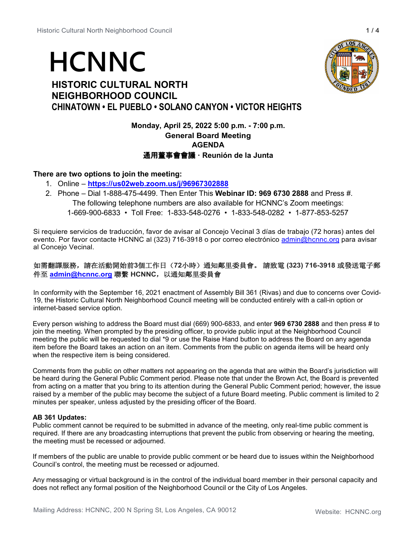# **HCNNC**

# **HISTORIC CULTURAL NORTH NEIGHBORHOOD COUNCIL CHINATOWN • EL PUEBLO • SOLANO CANYON • VICTOR HEIGHTS**

# **Monday, April 25, 2022 5:00 p.m. - 7:00 p.m. General Board Meeting AGENDA** 通用董事會會議 **· Reunión de la Junta**

# **There are two options to join the meeting:**

- 1. Online **<https://us02web.zoom.us/j/96967302888>**
- 2. Phone Dial 1-888-475-4499. Then Enter This **Webinar ID: 969 6730 2888** and Press #. The following telephone numbers are also available for HCNNC's Zoom meetings: 1-669-900-6833 • Toll Free: 1-833-548-0276 • 1-833-548-0282 • 1-877-853-5257

Si requiere servicios de traducción, favor de avisar al Concejo Vecinal 3 días de trabajo (72 horas) antes del evento. Por favor contacte HCNNC al (323) 716-3918 o por correo electrónico [admin@hcnnc.org](mailto:admin@hcnnc.org) para avisar al Concejo Vecinal.

## 如需翻譯服務,請在活動開始前**3**個工作日(**72**小時)通知鄰里委員會。 請致電 **(323) 716-3918** 或發送電子郵 件至 **[admin@hcnnc.org](mailto:admin@hcnnc.org)** 聯繫 **HCNNC**,以通知鄰里委員會

In conformity with the September 16, 2021 enactment of Assembly Bill 361 (Rivas) and due to concerns over Covid-19, the Historic Cultural North Neighborhood Council meeting will be conducted entirely with a call-in option or internet-based service option.

Every person wishing to address the Board must dial (669) 900-6833, and enter **969 6730 2888** and then press # to join the meeting. When prompted by the presiding officer, to provide public input at the Neighborhood Council meeting the public will be requested to dial \*9 or use the Raise Hand button to address the Board on any agenda item before the Board takes an action on an item. Comments from the public on agenda items will be heard only when the respective item is being considered.

Comments from the public on other matters not appearing on the agenda that are within the Board's jurisdiction will be heard during the General Public Comment period. Please note that under the Brown Act, the Board is prevented from acting on a matter that you bring to its attention during the General Public Comment period; however, the issue raised by a member of the public may become the subject of a future Board meeting. Public comment is limited to 2 minutes per speaker, unless adjusted by the presiding officer of the Board.

## **AB 361 Updates:**

Public comment cannot be required to be submitted in advance of the meeting, only real-time public comment is required. If there are any broadcasting interruptions that prevent the public from observing or hearing the meeting, the meeting must be recessed or adjourned.

If members of the public are unable to provide public comment or be heard due to issues within the Neighborhood Council's control, the meeting must be recessed or adjourned.

Any messaging or virtual background is in the control of the individual board member in their personal capacity and does not reflect any formal position of the Neighborhood Council or the City of Los Angeles.

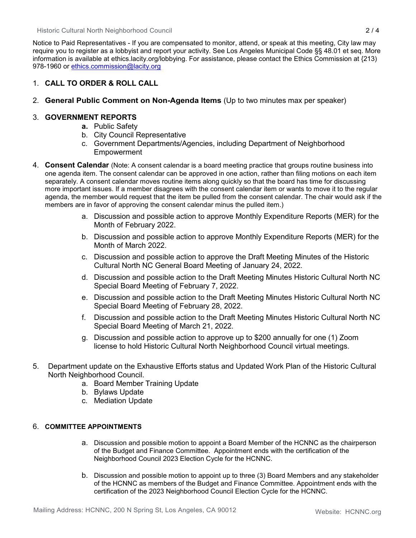Historic Cultural North Neighborhood Council 2 / 4

Notice to Paid Representatives - If you are compensated to monitor, attend, or speak at this meeting, City law may require you to register as a lobbyist and report your activity. See Los Angeles Municipal Code §§ 48.01 et seq. More information is available at ethics.lacity.org/lobbying. For assistance, please contact the Ethics Commission at {213) 978-1960 or [ethics.commission@lacity.org](mailto:ethics.commission@lacity.org)

## 1. **CALL TO ORDER & ROLL CALL**

2. **General Public Comment on Non-Agenda Items** (Up to two minutes max per speaker)

## 3. **GOVERNMENT REPORTS**

- **a.** Public Safety
- b. City Council Representative
- c. Government Departments/Agencies, including Department of Neighborhood **Empowerment**
- 4. **Consent Calendar** (Note: A consent calendar is a board meeting practice that groups routine business into one agenda item. The consent calendar can be approved in one action, rather than filing motions on each item separately. A consent calendar moves routine items along quickly so that the board has time for discussing more important issues. If a member disagrees with the consent calendar item or wants to move it to the regular agenda, the member would request that the item be pulled from the consent calendar. The chair would ask if the members are in favor of approving the consent calendar minus the pulled item.)
	- a. Discussion and possible action to approve Monthly Expenditure Reports (MER) for the Month of February 2022.
	- b. Discussion and possible action to approve Monthly Expenditure Reports (MER) for the Month of March 2022.
	- c. Discussion and possible action to approve the Draft Meeting Minutes of the Historic Cultural North NC General Board Meeting of January 24, 2022.
	- d. Discussion and possible action to the Draft Meeting Minutes Historic Cultural North NC Special Board Meeting of February 7, 2022.
	- e. Discussion and possible action to the Draft Meeting Minutes Historic Cultural North NC Special Board Meeting of February 28, 2022.
	- f. Discussion and possible action to the Draft Meeting Minutes Historic Cultural North NC Special Board Meeting of March 21, 2022.
	- g. Discussion and possible action to approve up to \$200 annually for one (1) Zoom license to hold Historic Cultural North Neighborhood Council virtual meetings.
- 5. Department update on the Exhaustive Efforts status and Updated Work Plan of the Historic Cultural North Neighborhood Council.
	- a. Board Member Training Update
	- b. Bylaws Update
	- c. Mediation Update

## 6. **COMMITTEE APPOINTMENTS**

- a. Discussion and possible motion to appoint a Board Member of the HCNNC as the chairperson of the Budget and Finance Committee. Appointment ends with the certification of the Neighborhood Council 2023 Election Cycle for the HCNNC.
- b. Discussion and possible motion to appoint up to three (3) Board Members and any stakeholder of the HCNNC as members of the Budget and Finance Committee. Appointment ends with the certification of the 2023 Neighborhood Council Election Cycle for the HCNNC.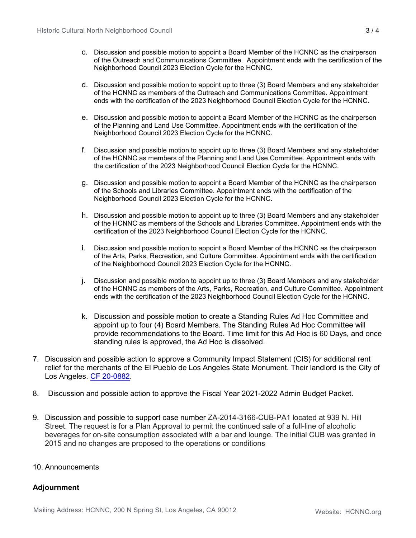- c. Discussion and possible motion to appoint a Board Member of the HCNNC as the chairperson of the Outreach and Communications Committee. Appointment ends with the certification of the Neighborhood Council 2023 Election Cycle for the HCNNC.
- d. Discussion and possible motion to appoint up to three (3) Board Members and any stakeholder of the HCNNC as members of the Outreach and Communications Committee. Appointment ends with the certification of the 2023 Neighborhood Council Election Cycle for the HCNNC.
- e. Discussion and possible motion to appoint a Board Member of the HCNNC as the chairperson of the Planning and Land Use Committee. Appointment ends with the certification of the Neighborhood Council 2023 Election Cycle for the HCNNC.
- f. Discussion and possible motion to appoint up to three (3) Board Members and any stakeholder of the HCNNC as members of the Planning and Land Use Committee. Appointment ends with the certification of the 2023 Neighborhood Council Election Cycle for the HCNNC.
- g. Discussion and possible motion to appoint a Board Member of the HCNNC as the chairperson of the Schools and Libraries Committee. Appointment ends with the certification of the Neighborhood Council 2023 Election Cycle for the HCNNC.
- h. Discussion and possible motion to appoint up to three (3) Board Members and any stakeholder of the HCNNC as members of the Schools and Libraries Committee. Appointment ends with the certification of the 2023 Neighborhood Council Election Cycle for the HCNNC.
- i. Discussion and possible motion to appoint a Board Member of the HCNNC as the chairperson of the Arts, Parks, Recreation, and Culture Committee. Appointment ends with the certification of the Neighborhood Council 2023 Election Cycle for the HCNNC.
- j. Discussion and possible motion to appoint up to three (3) Board Members and any stakeholder of the HCNNC as members of the Arts, Parks, Recreation, and Culture Committee. Appointment ends with the certification of the 2023 Neighborhood Council Election Cycle for the HCNNC.
- k. Discussion and possible motion to create a Standing Rules Ad Hoc Committee and appoint up to four (4) Board Members. The Standing Rules Ad Hoc Committee will provide recommendations to the Board. Time limit for this Ad Hoc is 60 Days, and once standing rules is approved, the Ad Hoc is dissolved.
- 7. Discussion and possible action to approve a Community Impact Statement (CIS) for additional rent relief for the merchants of the El Pueblo de Los Angeles State Monument. Their landlord is the City of Los Angeles. [CF 20-0882.](https://cityclerk.lacity.org/lacityclerkconnect/index.cfm?fa=ccfi.viewrecord&cfnumber=20-0882)
- 8. Discussion and possible action to approve the Fiscal Year 2021-2022 Admin Budget Packet.
- 9. Discussion and possible to support case number ZA-2014-3166-CUB-PA1 located at 939 N. Hill Street. The request is for a Plan Approval to permit the continued sale of a full-line of alcoholic beverages for on-site consumption associated with a bar and lounge. The initial CUB was granted in 2015 and no changes are proposed to the operations or conditions

## 10. Announcements

# **Adjournment**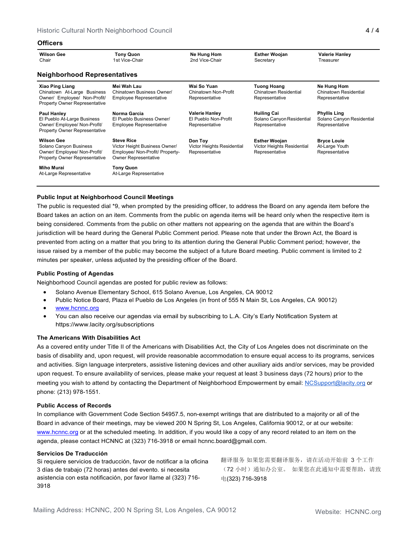### **Officers**

| <b>Wilson Gee</b><br>Chair                                                                                                    | <b>Tony Quon</b><br>1st Vice-Chair                                                                                   | Ne Hung Hom<br>2nd Vice-Chair                                   | <b>Esther Woojan</b><br>Secretary                                    | <b>Valerie Hanley</b><br>Treasurer                                 |  |  |  |
|-------------------------------------------------------------------------------------------------------------------------------|----------------------------------------------------------------------------------------------------------------------|-----------------------------------------------------------------|----------------------------------------------------------------------|--------------------------------------------------------------------|--|--|--|
| <b>Neighborhood Representatives</b>                                                                                           |                                                                                                                      |                                                                 |                                                                      |                                                                    |  |  |  |
| <b>Xiao Ping Liang</b><br>Chinatown At-Large Business<br>Owner/ Employee/ Non-Profit/<br><b>Property Owner Representative</b> | Mei Wah Lau<br>Chinatown Business Owner/<br><b>Employee Representative</b>                                           | Wai So Yuan<br>Chinatown Non-Profit<br>Representative           | <b>Tuong Hoang</b><br>Chinatown Residential<br>Representative        | Ne Hung Hom<br>Chinatown Residential<br>Representative             |  |  |  |
| <b>Paul Hanley</b><br>El Pueblo At-Large Business<br>Owner/ Employee/ Non-Profit/<br><b>Property Owner Representative</b>     | Norma Garcia<br>El Pueblo Business Owner/<br><b>Employee Representative</b>                                          | <b>Valerie Hanley</b><br>El Pueblo Non-Profit<br>Representative | <b>Huiling Cai</b><br>Solano Canyon Residential<br>Representative    | <b>Phyllis Ling</b><br>Solano Canyon Residential<br>Representative |  |  |  |
| <b>Wilson Gee</b><br>Solano Canyon Business<br>Owner/ Employee/ Non-Profit/<br><b>Property Owner Representative</b>           | <b>Steve Rice</b><br>Victor Height Business Owner/<br>Employee/ Non-Profit/ Property-<br><b>Owner Representative</b> | Don Toy<br>Victor Heights Residential<br>Representative         | <b>Esther Woojan</b><br>Victor Heights Residential<br>Representative | <b>Bryce Louie</b><br>At-Large Youth<br>Representative             |  |  |  |
| Miho Murai<br>At-Large Representative                                                                                         | <b>Tony Quon</b><br>At-Large Representative                                                                          |                                                                 |                                                                      |                                                                    |  |  |  |

## **Public Input at Neighborhood Council Meetings**

The public is requested dial \*9, when prompted by the presiding officer, to address the Board on any agenda item before the Board takes an action on an item. Comments from the public on agenda items will be heard only when the respective item is being considered. Comments from the public on other matters not appearing on the agenda that are within the Board's jurisdiction will be heard during the General Public Comment period. Please note that under the Brown Act, the Board is prevented from acting on a matter that you bring to its attention during the General Public Comment period; however, the issue raised by a member of the public may become the subject of a future Board meeting. Public comment is limited to 2 minutes per speaker, unless adjusted by the presiding officer of the Board.

### **Public Posting of Agendas**

Neighborhood Council agendas are posted for public review as follows:

- Solano Avenue Elementary School, 615 Solano Avenue, Los Angeles, CA 90012
- Public Notice Board, Plaza el Pueblo de Los Angeles (in front of 555 N Main St, Los Angeles, CA 90012)
- [www.hcnnc.org](http://www.hcnnc.org/)
- You can also receive our agendas via email by subscribing to L.A. City's Early Notification System at https:/[/www.lacity.org/subscriptions](http://www.lacity.org/subscriptions)

### **The Americans With Disabilities Act**

As a covered entity under Title II of the Americans with Disabilities Act, the City of Los Angeles does not discriminate on the basis of disability and, upon request, will provide reasonable accommodation to ensure equal access to its programs, services and activities. Sign language interpreters, assistive listening devices and other auxiliary aids and/or services, may be provided upon request. To ensure availability of services, please make your request at least 3 business days (72 hours) prior to the meeting you wish to attend by contacting the Department of Neighborhood Empowerment by email: [NCSupport@lacity.org](mailto:NCSupport@lacity.org) or phone: (213) 978-1551.

#### **Public Access of Records**

In compliance with Government Code Section 54957.5, non-exempt writings that are distributed to a majority or all of the Board in advance of their meetings, may be viewed 200 N Spring St, Los Angeles, California 90012, or at our website: [www.hcnnc.org](http://www.hcnnc.org/) or at the scheduled meeting. In addition, if you would like a copy of any record related to an item on the agenda, please contact HCNNC at (323) 716-3918 or emai[l hcnnc.board@gmail.com.](mailto:hcnnc.board@gmail.com)

#### **Servicios De Traducción**

Si requiere servicios de traducción, favor de notificar a la oficina 3 días de trabajo (72 horas) antes del evento. si necesita asistencia con esta notificación, por favor llame al (323) 716- 3918

翻译服务 如果您需要翻译服务,请在活动开始前 3 个工作 (72 小时)通知办公室。 如果您在此通知中需要帮助,请致 电(323) 716-3918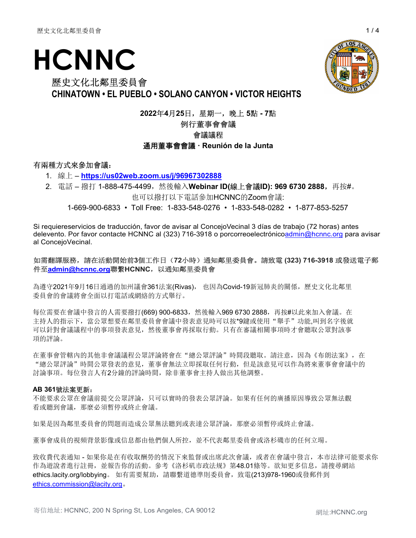# HCNNC

# 歷史文化北鄰里委員會 CHINATOWN • EL PUEBLO • SOLANO CANYON • VICTOR HEIGHTS

2022年4月25日,星期一,晚上 5點 - 7點

# 例行董事會會議

# 會議議程

## 通用董事會會議 · Reunión de la Junta

# 有兩種方式來參加會議:

- 1. 線上 https://us02web.zoom.us/j/96967302888
- 2. 電話 撥打 1-888-475-4499,然後輸入Webinar ID(線上會議ID): 969 6730 2888,再按#。 也可以撥打以下電話參加HCNNC的Zoom會議:

1-669-900-6833 • Toll Free: 1-833-548-0276 • 1-833-548-0282 • 1-877-853-5257

Si requiereservicios de traducción, favor de avisar al ConcejoVecinal 3 días de trabajo (72 horas) antes delevento. Por favor contacte HCNNC al (323) 716-3918 o porcorreoelectrónicoadmin@hcnnc.org para avisar al ConcejoVecinal.

## 如需翻譯服務,請在活動開始前3個工作日(72小時)通知鄰里委員會。請致電 (323) 716-3918 或發送電子郵 件至admin@hcnnc.org聯繫HCNNC,以通知鄰里委員會

為遵守2021年9月16日通過的加州議會361法案(Rivas), 也因為Covid-19新冠肺炎的關係,歷史文化北鄰里 委員會的會議將會全面以打電話或網絡的方式舉行。

每位需要在會議中發言的人需要撥打(669) 900-6833,然後輸入969 6730 2888,再按#以此來加入會議。在 主持人的指示下,當公眾想要在鄰里委員會會議中發表意見時可以按\*9鍵或使用"舉手"功能,叫到名字後就 可以針對會議議程中的事項發表意見,然後董事會再採取行動。只有在審議相關事項時才會聽取公眾對該事 項的評論。

在董事會管轄內的其他非會議議程公眾評論將會在"總公眾評論"時間段聽取。請注意,因為《布朗法案》,在 "總公眾評論"時間公眾發表的意見,董事會無法立即採取任何行動,但是該意見可以作為將來董事會會議中的 討論事項。每位發言人有2分鐘的評論時間,除非董事會主持人做出其他調整。

## AB 361號法案更新:

不能要求公眾在會議前提交公眾評論,只可以實時的發表公眾評論。如果有任何的廣播原因導致公眾無法觀 看或聽到會議,那麼必須暫停或終止會議。

如果是因為鄰里委員會的問題而造成公眾無法聽到或表達公眾評論,那麼必須暫停或終止會議。

董事會成員的視頻背景影像或信息都由他們個人所控,並不代表鄰里委員會或洛杉磯市的任何立場。

致收費代表通知 - 如果你是在有收取酬勞的情況下來監督或出席此次會議, 或者在會議中發言, 本市法律可能要求你 作為遊說者進行註冊,並報告你的活動。參考《洛杉矶市政法规》第48.01條等。欲知更多信息,請搜尋網站 ethics.lacity.org/lobbying。如有需要幫助,請聯繫道德準則委員會,致電(213)978-1960或發郵件到 ethics.commission@lacity.org。

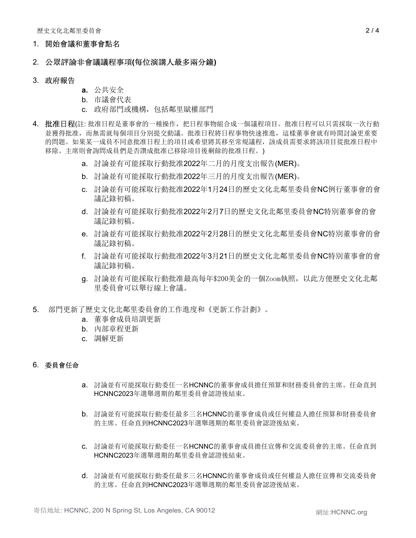## 1. 開始會議和董事會點名

## 2. 公眾評論非會議議程事項(每位演講人最多兩分鐘)

## 3. 政府報告

- a. 公共安全
- b. 市議會代表
- c. 政府部門或機構,包括鄰里賦權部門
- 4. 批准日程(註:批准日程是董事會的一種操作,把日程事物組合成一個議程項目。批准日程可以只需採取一次行動 並獲得批准,而無需就每個項目分別提交動議。批准日程將日程事物快速推進,這樣董事會就有時間討論更重要 的問題。如果某一成員不同意批准日程上的項目或希望將其移至常規議程,該成員需要求將該項目從批准日程中 移除。主席則會詢問成員們是否讚成批准已移除項目後剩餘的批准日程。)
	- a. 討論並有可能採取行動批准2022年二月的月度支出報告(MER)。
	- b. 討論並有可能採取行動批准2022年三月的月度支出報告(MER)。
	- c. 討論並有可能採取行動批准2022年1月24日的歷史文化北鄰里委員會NC例行董事會的會 議記錄初稿。
	- d. 討論並有可能採取行動批准2022年2月7日的歷史文化北鄰里委員會NC特別董事會的會 議記錄初稿。
	- e. 討論並有可能採取行動批准2022年2月28日的歷史文化北鄰里委員會NC特別董事會的會 議記錄初稿。
	- f. 討論並有可能採取行動批准2022年3月21日的歷史文化北鄰里委員會NC特別董事會的會 議記錄初稿。
	- g. 討論並有可能採取行動批准最高每年\$200美金的一個Zoom執照,以此方便歷史文化北鄰 里委員會可以舉行線上會議。
- 5. 部門更新了歷史文化北鄰里委員會的工作進度和《更新工作計劃》。
	- a. 董事會成員培訓更新
	- b. 內部章程更新
	- c. 調解更新

# 6. 委員會任命

- a. 討論並有可能採取行動委任一名HCNNC的董事會成員擔任預算和財務委員會的主席。任命直到 HCNNC2023年選舉週期的鄰里委員會認證後結束。
- b. 討論並有可能採取行動委任最多三名HCNNC的董事會成員或任何權益人擔任預算和財務委員會 的主席。任命直到HCNNC2023年選舉週期的鄰里委員會認證後結束。
- c. 討論並有可能採取行動委任一名HCNNC的董事會成員擔任宣傳和交流委員會的主席。任命直到 HCNNC2023年選舉週期的鄰里委員會認證後結束。
- d. 討論並有可能採取行動委任最多三名HCNNC的董事會成員或任何權益人擔任宣傳和交流委員會 的主席。任命直到HCNNC2023年選舉週期的鄰里委員會認證後結束。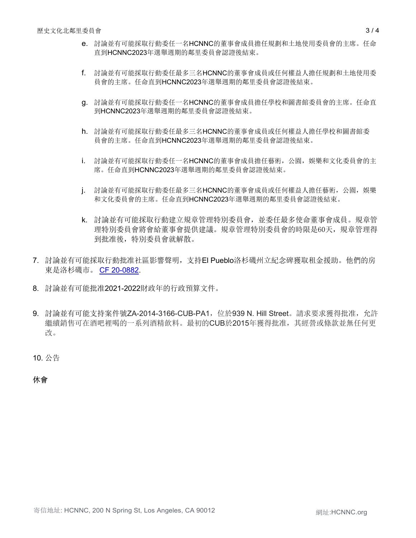- f. 討論並有可能採取行動委任最多三名HCNNC的董事會成員或任何權益人擔任規劃和土地使用委 員會的主席。任命直到HCNNC2023年選舉週期的鄰里委員會認證後結束。
- g. 討論並有可能採取行動委任一名HCNNC的董事會成員擔任學校和圖書館委員會的主席。任命直 到HCNNC2023年選舉週期的鄰里委員會認證後結束。
- h. 討論並有可能採取行動委任最多三名HCNNC的董事會成員或任何權益人擔任學校和圖書館委 員會的主席。任命直到HCNNC2023年選舉週期的鄰里委員會認證後結束。
- i. 討論並有可能採取行動委任一名HCNNC的董事會成員擔任藝術,公園,娛樂和文化委員會的主 席。任命直到HCNNC2023年選舉週期的鄰里委員會認證後結束。
- j. 討論並有可能採取行動委任最多三名HCNNC的董事會成員或任何權益人擔任藝術,公園,娛樂 和文化委員會的主席。任命直到HCNNC2023年選舉週期的鄰里委員會認證後結束。
- k. 討論並有可能採取行動建立規章管理特別委員會,並委任最多使命董事會成員。規章管 理特別委員會將會給董事會提供建議。規章管理特別委員會的時限是60天,規章管理得 到批准後,特別委員會就解散。
- 7. 討論並有可能採取行動批准社區影響聲明,支持El Pueblo洛杉磯州立紀念碑獲取租金援助。他們的房 東是洛杉磯市。 CF 20-0882.
- 8. 討論並有可能批准2021-2022財政年的行政預算文件。
- 9. 討論並有可能支持案件號ZA-2014-3166-CUB-PA1, 位於939 N. Hill Street。請求要求獲得批准, 允許 繼續銷售可在酒吧裡喝的一系列酒精飲料。最初的CUB於2015年獲得批准,其經營或條款並無任何更 改。

10. 公告

休會